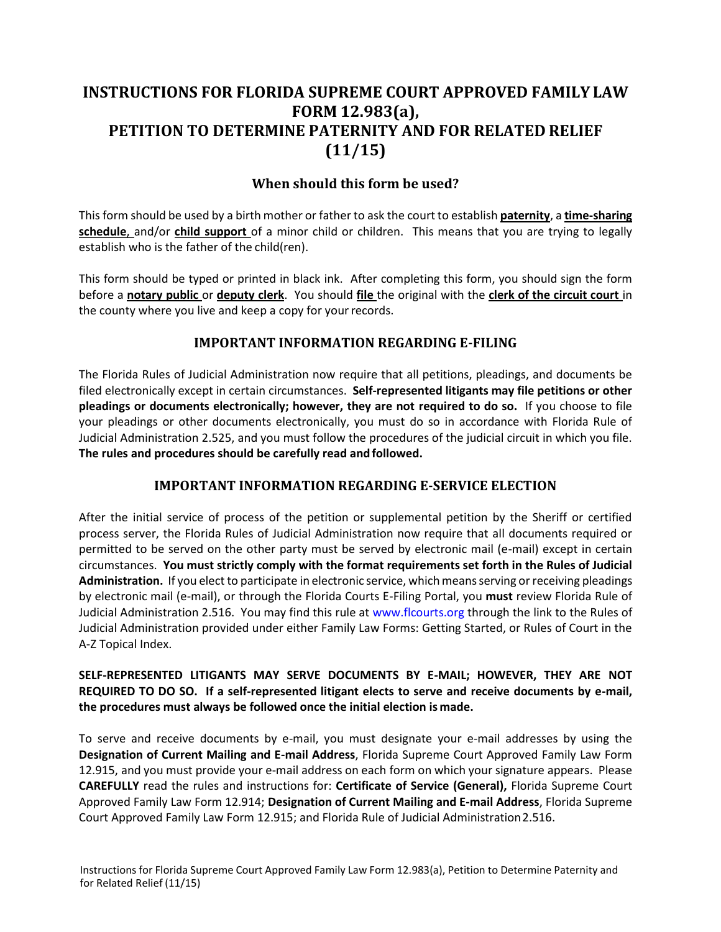# **INSTRUCTIONS FOR FLORIDA SUPREME COURT APPROVED FAMILY LAW PETITION TO DETERMINE PATERNITY AND FOR RELATED RELIEF FORM 12.983(a), (11/15)**

## **When should this form be used?**

 This form should be used by a birth mother or father to ask the court to establish **paternity**, a **time-sharing schedule**, and/or **child support** of a minor child or children. This means that you are trying to legally establish who is the father of the child(ren).

 This form should be typed or printed in black ink. After completing this form, you should sign the form  before a **notary public** or **deputy clerk**. You should **file** the original with the **clerk of the circuit court** in the county where you live and keep a copy for your records.

## **IMPORTANT INFORMATION REGARDING E-FILING**

 The Florida Rules of Judicial Administration now require that all petitions, pleadings, and documents be  **pleadings or documents electronically; however, they are not required to do so.** If you choose to file your pleadings or other documents electronically, you must do so in accordance with Florida Rule of Judicial Administration 2.525, and you must follow the procedures of the judicial circuit in which you file.  **The rules and procedures should be carefully read and followed.**  filed electronically except in certain circumstances. **Self-represented litigants may file petitions or other** 

## **IMPORTANT INFORMATION REGARDING E-SERVICE ELECTION**

 After the initial service of process of the petition or supplemental petition by the Sheriff or certified process server, the Florida Rules of Judicial Administration now require that all documents required or permitted to be served on the other party must be served by electronic mail (e-mail) except in certain  **Administration.** If you elect to participate in electronic service, which means serving or receiving pleadings by electronic mail (e-mail), or through the Florida Courts E-Filing Portal, you **must** review Florida Rule of Judicial Administration 2.516. You may find this rule at [www.flcourts.org](http://www.flcourts.org/) through the link to the Rules of Judicial Administration provided under either Family Law Forms: Getting Started, or Rules of Court in the A-Z Topical Index. circumstances. **You must strictly comply with the format requirements set forth in the Rules of Judicial** 

## **SELF-REPRESENTED LITIGANTS MAY SERVE DOCUMENTS BY E-MAIL; HOWEVER, THEY ARE NOT REQUIRED TO DO SO. If a self-represented litigant elects to serve and receive documents by e-mail, the procedures must always be followed once the initial election is made.**

 To serve and receive documents by e-mail, you must designate your e-mail addresses by using the  **Designation of Current Mailing and E-mail Address**, Florida Supreme Court Approved Family Law Form 12.915, and you must provide your e-mail address on each form on which your signature appears. Please  **CAREFULLY** read the rules and instructions for: **Certificate of Service (General),** Florida Supreme Court Approved Family Law Form 12.914; **Designation of Current Mailing and E-mail Address**, Florida Supreme Court Approved Family Law Form 12.915; and Florida Rule of Judicial Administration2.516.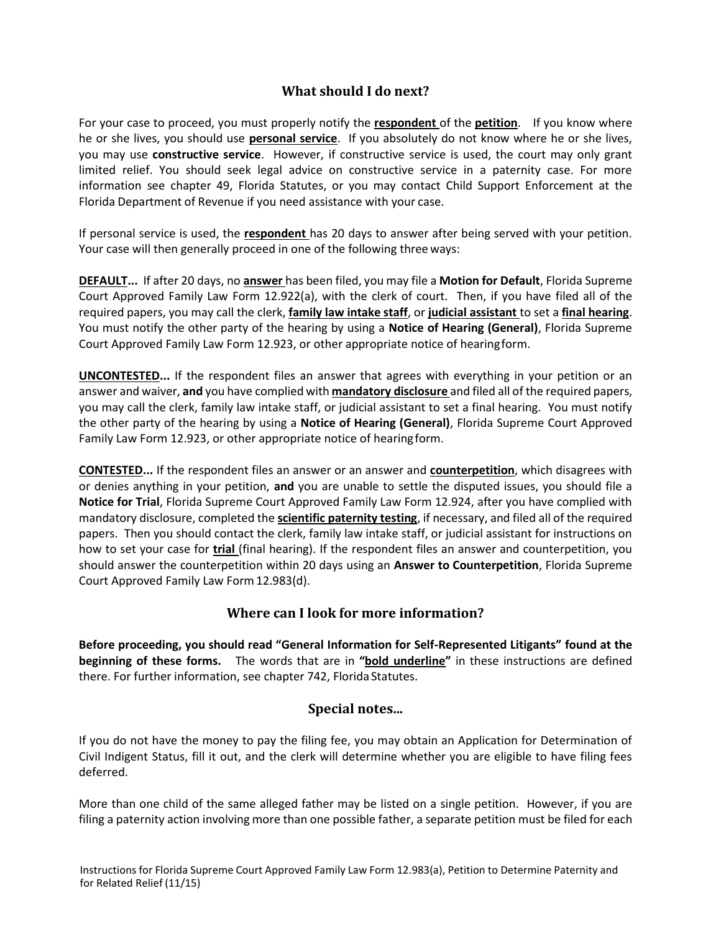For your case to proceed, you must properly notify the **respondent** of the **petition**. If you know where he or she lives, you should use **personal service**. If you absolutely do not know where he or she lives, you may use **constructive service**. However, if constructive service is used, the court may only grant limited relief. You should seek legal advice on constructive service in a paternity case. For more information see chapter 49, Florida Statutes, or you may contact Child Support Enforcement at the Florida Department of Revenue if you need assistance with your case.

 If personal service is used, the **respondent** has 20 days to answer after being served with your petition. Your case will then generally proceed in one of the following three ways:

 **DEFAULT...** If after 20 days, no **answer** has been filed, you may file a **Motion for Default**, Florida Supreme Court Approved Family Law Form 12.922(a), with the clerk of court. Then, if you have filed all of the required papers, you may call the clerk, **family law intake staff**, or **judicial assistant** to set a **final hearing**. You must notify the other party of the hearing by using a **Notice of Hearing (General)**, Florida Supreme Court Approved Family Law Form 12.923, or other appropriate notice of hearing form.

 **UNCONTESTED...** If the respondent files an answer that agrees with everything in your petition or an answer and waiver, **and** you have complied with **mandatory disclosure** and filed all of the required papers, you may call the clerk, family law intake staff, or judicial assistant to set a final hearing. You must notify the other party of the hearing by using a **Notice of Hearing (General)**, Florida Supreme Court Approved Family Law Form 12.923, or other appropriate notice of hearing form.

 **CONTESTED...** If the respondent files an answer or an answer and **counterpetition**, which disagrees with or denies anything in your petition, **and** you are unable to settle the disputed issues, you should file a  **Notice for Trial**, Florida Supreme Court Approved Family Law Form 12.924, after you have complied with mandatory disclosure, completed the **scientific paternity testing**, if necessary, and filed all of the required papers. Then you should contact the clerk, family law intake staff, or judicial assistant for instructions on how to set your case for **trial** (final hearing). If the respondent files an answer and counterpetition, you should answer the counterpetition within 20 days using an **Answer to Counterpetition**, Florida Supreme Court Approved Family Law Form 12.983(d). **What should I do next?**<br>d, you must properly notify the <u>responden</u><br>uld use <u>personal service</u>. If you absolutel<br>ve service. However, if constructive servicula seek legal advice on constructive servicula<br>sevenue if you ne

## **Where can I look for more information?**

 **Before proceeding, you should read "General Information for Self-Represented Litigants" found at the beginning of these forms.** The words that are in **"bold underline"** in these instructions are defined there. For further information, see chapter 742, Florida Statutes.

## **Special notes...**

 If you do not have the money to pay the filing fee, you may obtain an Application for Determination of Civil Indigent Status, fill it out, and the clerk will determine whether you are eligible to have filing fees deferred.

 More than one child of the same alleged father may be listed on a single petition. However, if you are filing a paternity action involving more than one possible father, a separate petition must be filed for each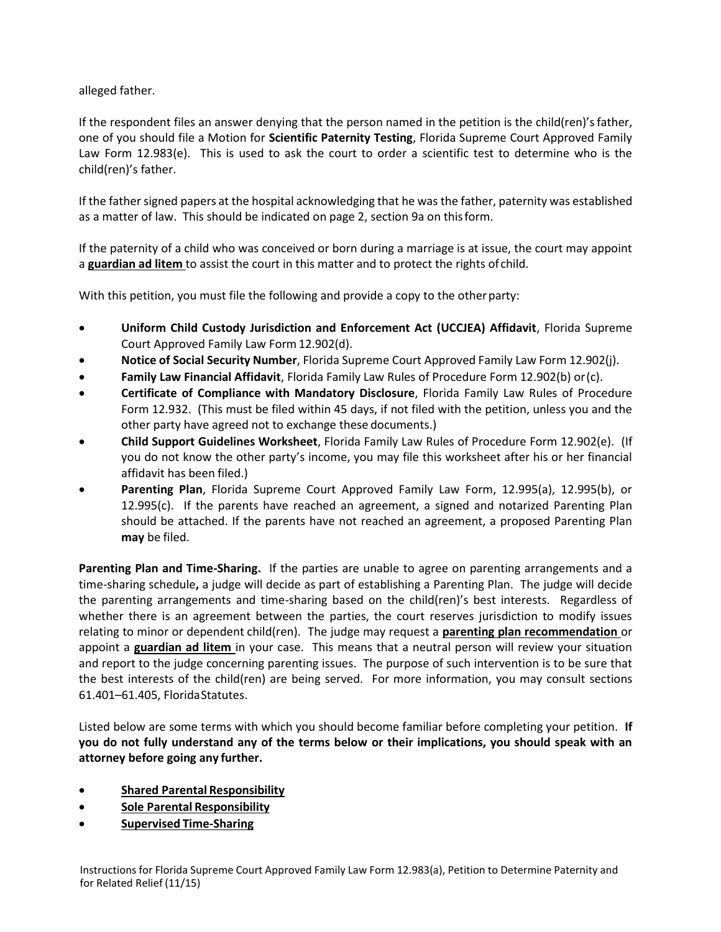alleged father.

 If the respondent files an answer denying that the person named in the petition is the child(ren)'s father, one of you should file a Motion for **Scientific Paternity Testing**, Florida Supreme Court Approved Family Law Form 12.983(e). This is used to ask the court to order a scientific test to determine who is the child(ren)'s father.

 If the father signed papers at the hospital acknowledging that he was the father, paternity was established as a matter of law. This should be indicated on page 2, section 9a on this form.

 If the paternity of a child who was conceived or born during a marriage is at issue, the court may appoint a **guardian ad litem** to assist the court in this matter and to protect the rights of child.

With this petition, you must file the following and provide a copy to the other party:

- **Uniform Child Custody Jurisdiction and Enforcement Act (UCCJEA) Affidavit**, Florida Supreme Court Approved Family Law Form 12.902(d).
- **Notice of Social Security Number**, Florida Supreme Court Approved Family Law Form 12.902(j).
- **Family Law Financial Affidavit**, Florida Family Law Rules of Procedure Form 12.902(b) or(c).
- **Certificate of Compliance with Mandatory Disclosure**, Florida Family Law Rules of Procedure Form 12.932. (This must be filed within 45 days, if not filed with the petition, unless you and the other party have agreed not to exchange these documents.)
- **Child Support Guidelines Worksheet**, Florida Family Law Rules of Procedure Form 12.902(e). (If you do not know the other party's income, you may file this worksheet after his or her financial affidavit has been filed.)
- 12.995(c). If the parents have reached an agreement, a signed and notarized Parenting Plan should be attached. If the parents have not reached an agreement, a proposed Parenting Plan **may** be filed. do not know the other party's inco<br>davit has been filed.)<br>**enting Plan**, Florida Supreme Cour<br>995(c). If the parents have reached<br>uld be attached. If the parents have<br>y be filed.<br>**lan and Time-Sharing.** If the partie<br>g sch **Parenting Plan**, Florida Supreme Court Approved Family Law Form, 12.995(a), 12.995(b), or

Parenting Plan and Time-Sharing. If the parties are unable to agree on parenting arrangements and a time-sharing schedule**,** a judge will decide as part of establishing a Parenting Plan. The judge will decide the parenting arrangements and time-sharing based on the child(ren)'s best interests. Regardless of whether there is an agreement between the parties, the court reserves jurisdiction to modify issues relating to minor or dependent child(ren). The judge may request a **parenting plan recommendation** or  appoint a **guardian ad litem** in your case. This means that a neutral person will review your situation and report to the judge concerning parenting issues. The purpose of such intervention is to be sure that the best interests of the child(ren) are being served. For more information, you may consult sections 61.401–61.405, FloridaStatutes.

 Listed below are some terms with which you should become familiar before completing your petition. **If you do not fully understand any of the terms below or their implications, you should speak with an attorney before going any further.** 

- **Shared Parental Responsibility**
- **Sole Parental Responsibility**
- **Supervised Time-Sharing**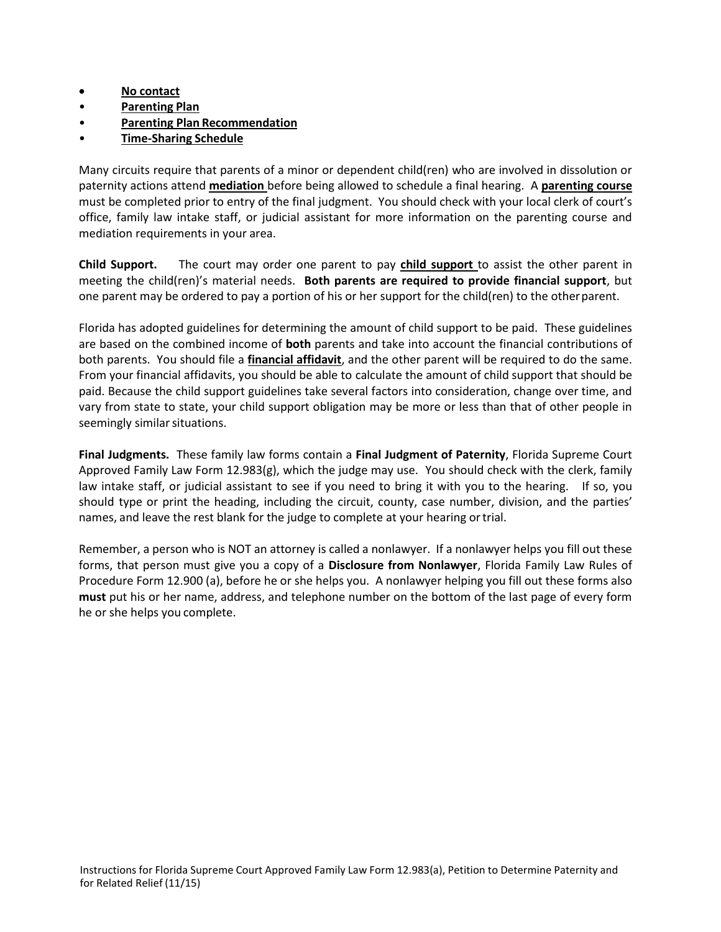- **No contact**
- **Parenting Plan**
- **Parenting Plan Recommendation**
- **Time-Sharing Schedule**

 Many circuits require that parents of a minor or dependent child(ren) who are involved in dissolution or paternity actions attend **mediation** before being allowed to schedule a final hearing. A **parenting course**  office, family law intake staff, or judicial assistant for more information on the parenting course and mediation requirements in your area. must be completed prior to entry of the final judgment. You should check with your local clerk of court's

**Child Support.**  meeting the child(ren)'s material needs; **Both parents are required to provide financial support**, but one parent may be ordered to pay a portion of his or her support for the child(ren) to the other parent. The court may order one parent to pay **child support** to assist the other parent in

 Florida has adopted guidelines for determining the amount of child support to be paid. These guidelines are based on the combined income of **both** parents and take into account the financial contributions of both parents. You should file a **financial affidavit**, and the other parent will be required to do the same. From your financial affidavits, you should be able to calculate the amount of child support that should be paid. Because the child support guidelines take several factors into consideration, change over time, and vary from state to state, your child support obligation may be more or less than that of other people in seemingly similar situations.

 **Final Judgments.** These family law forms contain a **Final Judgment of Paternity**, Florida Supreme Court Approved Family Law Form 12.983(g), which the judge may use. You should check with the clerk, family law intake staff, or judicial assistant to see if you need to bring it with you to the hearing. If so, you should type or print the heading, including the circuit, county, case number, division, and the parties' names, and leave the rest blank for the judge to complete at your hearing or trial.

 Remember, a person who is NOT an attorney is called a nonlawyer. If a nonlawyer helps you fill out these forms, that person must give you a copy of a **Disclosure from Nonlawyer**, Florida Family Law Rules of Procedure Form 12.900 (a), before he or she helps you. A nonlawyer helping you fill out these forms also **must** put his or her name, address, and telephone number on the bottom of the last page of every form he or she helps you complete.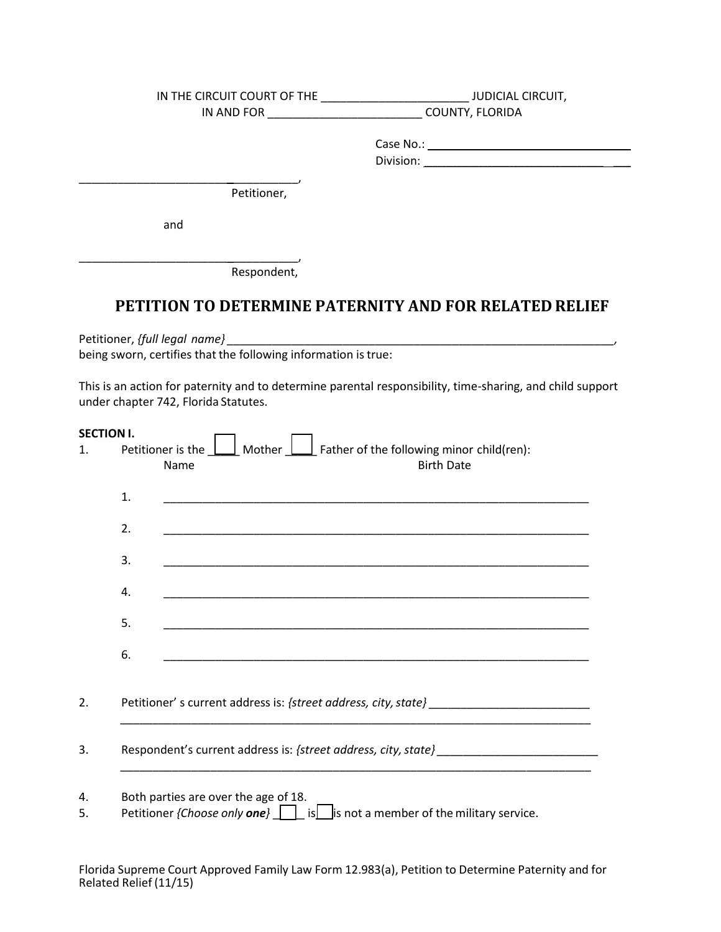| IN THE CIRCUIT COURT OF THE | <b>JUDICIAL CIRCUIT,</b> |
|-----------------------------|--------------------------|
| IN AND FOR                  | <b>COUNTY, FLORIDA</b>   |
|                             | Case No.:                |
|                             | Division:                |
|                             |                          |
| Petitioner,                 |                          |
| and                         |                          |
|                             |                          |

Respondent,

# **PETITION TO DETERMINE PATERNITY AND FOR RELATED RELIEF**

 Petitioner, *{full legal name} \_\_\_\_\_\_\_\_\_\_\_\_\_\_\_\_\_\_\_\_\_\_\_\_\_\_\_\_\_\_\_\_\_\_\_\_\_\_\_\_\_\_\_\_\_\_\_\_\_\_\_\_\_\_\_\_\_\_\_\_,*  being sworn, certifies that the following information is true:

 under chapter 742, Florida Statutes. This is an action for paternity and to determine parental responsibility, time-sharing, and child support

|    | $\Box$ Mother $\Box$ Father of the following minor child(ren):<br>Petitioner is the L<br><b>Birth Date</b><br>Name   |
|----|----------------------------------------------------------------------------------------------------------------------|
| 1. |                                                                                                                      |
| 2. | the control of the control of the control of the control of the control of the control of                            |
| 3. | <u> 1980 - Johann Stein, mars an deutscher Stein und der Stein und der Stein und der Stein und der Stein und der</u> |
| 4. | <u> 1989 - Johann John Stone, markin film yn y brenin y brenin y brenin y brenin y brenin y brenin y brenin y br</u> |
| 5. |                                                                                                                      |
| 6. | <u> 1980 - Jan Barbara, martin da kasar Amerikaan dan Barbara (j. 1980).</u>                                         |
|    |                                                                                                                      |
|    | Respondent's current address is: {street address, city, state} ________________________                              |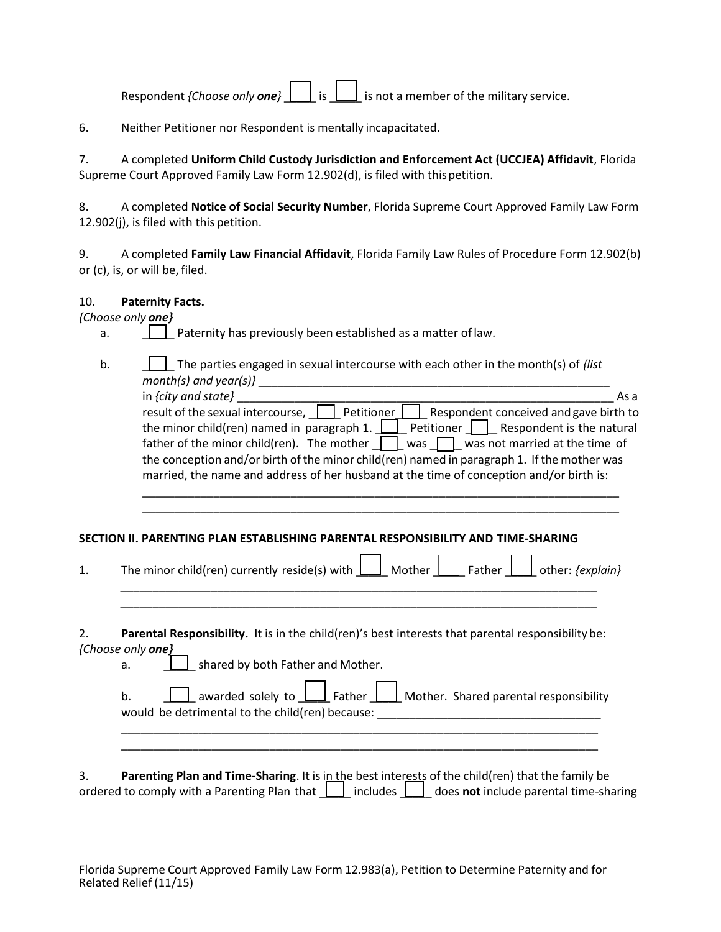Respondent *{Choose only one}* <u>\_\_\_\_</u> is \_\_\_\_\_\_\_ is not a member of the military service.

6. Neither Petitioner nor Respondent is mentally incapacitated.

 Supreme Court Approved Family Law Form 12.902(d), is filed with this petition. 7. A completed **Uniform Child Custody Jurisdiction and Enforcement Act (UCCJEA) Affidavit**, Florida

 12.902(j), is filed with this petition. 8. A completed **Notice of Social Security Number**, Florida Supreme Court Approved Family Law Form

 or (c), is, or will be, filed. 9. A completed **Family Law Financial Affidavit**, Florida Family Law Rules of Procedure Form 12.902(b)

## 10. **Paternity Facts.**

*{Choose only one}* 

| a. |  | Paternity has previously been established as a matter of law. |
|----|--|---------------------------------------------------------------|
|----|--|---------------------------------------------------------------|

|    | $month(s)$ and year(s)}                                                                                                                                                                |
|----|----------------------------------------------------------------------------------------------------------------------------------------------------------------------------------------|
|    | in {city and state}<br>As a                                                                                                                                                            |
|    | result of the sexual intercourse, <b>Netitioner Respondent conceived and gave birth to</b>                                                                                             |
|    | the minor child(ren) named in paragraph 1. $\Box$ Petitioner Respondent is the natural                                                                                                 |
|    | father of the minor child(ren). The mother $\Box$ was $\Box$ was not married at the time of                                                                                            |
|    | the conception and/or birth of the minor child(ren) named in paragraph 1. If the mother was<br>married, the name and address of her husband at the time of conception and/or birth is: |
|    |                                                                                                                                                                                        |
|    |                                                                                                                                                                                        |
|    | SECTION II. PARENTING PLAN ESTABLISHING PARENTAL RESPONSIBILITY AND TIME-SHARING                                                                                                       |
|    | The minor child(ren) currently reside(s) with $L$<br>$\Box$ Father $\vert$<br>$\rfloor$ other: {explain}<br>$\rfloor$ Mother $\lfloor$                                                 |
|    |                                                                                                                                                                                        |
|    |                                                                                                                                                                                        |
|    |                                                                                                                                                                                        |
|    | Parental Responsibility. It is in the child(ren)'s best interests that parental responsibility be:                                                                                     |
|    | {Choose only one}                                                                                                                                                                      |
| a. | shared by both Father and Mother.                                                                                                                                                      |
|    |                                                                                                                                                                                        |
| b. | awarded solely to $\Box$ Father $\Box$ Mother. Shared parental responsibility                                                                                                          |
|    | would be detrimental to the child(ren) because:                                                                                                                                        |
|    |                                                                                                                                                                                        |
|    |                                                                                                                                                                                        |

3. **Parenting Plan and Time-Sharing**. It is in the best interests of the child(ren) that the family be ordered to comply with a Parenting Plan that **LA** includes **LA** does **not** include parental time-sharing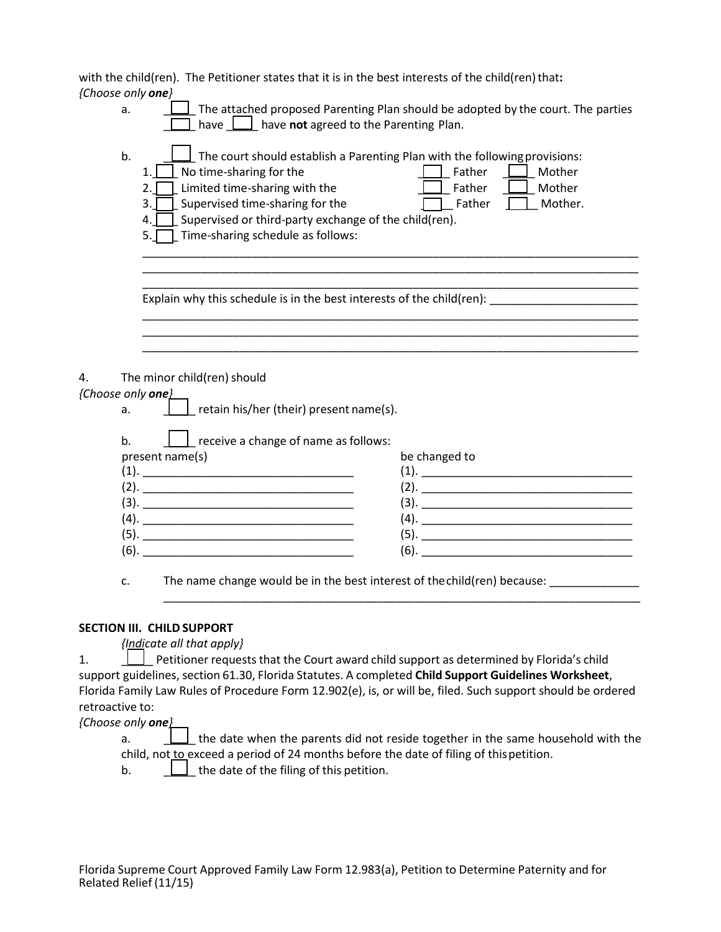with the child(ren). The Petitioner states that it is in the best interests of the child(ren) that**:**  *{Choose only one}* 

| a.                        | The attached proposed Parenting Plan should be adopted by the court. The parties<br>have $\boxed{\phantom{a}}$ have not agreed to the Parenting Plan.                                                                                                                                                                                                                         |
|---------------------------|-------------------------------------------------------------------------------------------------------------------------------------------------------------------------------------------------------------------------------------------------------------------------------------------------------------------------------------------------------------------------------|
| b.                        | The court should establish a Parenting Plan with the following provisions:<br>No time-sharing for the<br>Father<br>Mother<br>Limited time-sharing with the<br>Father<br>Mother<br>2.<br>Supervised time-sharing for the<br>$\Box$ Mother.<br><b>T</b> Father<br>3.<br>Supervised or third-party exchange of the child(ren).<br>4.<br>Time-sharing schedule as follows:<br>5.1 |
| 4.                        | Explain why this schedule is in the best interests of the child(ren): __________________<br>The minor child(ren) should                                                                                                                                                                                                                                                       |
| {Choose only <b>one</b> } |                                                                                                                                                                                                                                                                                                                                                                               |
| a.                        | $\Box$ retain his/her (their) present name(s).                                                                                                                                                                                                                                                                                                                                |
| b.                        | receive a change of name as follows:                                                                                                                                                                                                                                                                                                                                          |
|                           | be changed to<br>present name(s)                                                                                                                                                                                                                                                                                                                                              |
|                           | (1).                                                                                                                                                                                                                                                                                                                                                                          |
|                           |                                                                                                                                                                                                                                                                                                                                                                               |
|                           | (4).                                                                                                                                                                                                                                                                                                                                                                          |
|                           |                                                                                                                                                                                                                                                                                                                                                                               |
|                           | $(6). \begin{tabular}{ c c c c } \hline \rule{0.2cm}{.01cm} \rule{0.2cm}{.01cm} \rule{0.2cm}{.01cm} \rule{0.2cm}{.01cm} \rule{0.2cm}{.01cm} \rule{0.2cm}{.01cm} \rule{0.2cm}{.01cm} \rule{0.2cm}{.01cm} \rule{0.2cm}{.01cm} \rule{0.2cm}{.01cm} \rule{0.2cm}{.01cm} \rule{0.2cm}{.01cm} \rule{0.2cm}{.01cm} \rule{0.2cm}{.01cm} \rule{0.2cm}{.01cm} \rule{$                   |
| c.                        | The name change would be in the best interest of the child(ren) because: ______________                                                                                                                                                                                                                                                                                       |

## **SECTION III. CHILD SUPPORT**

## *{Indicate all that apply}*

1.  $\Box$  Petitioner requests that the Court award child support as determined by Florida's child support guidelines, section 61.30, Florida Statutes. A completed **Child Support Guidelines Worksheet**, retroactive to: Florida Family Law Rules of Procedure Form 12.902(e), is, or will be, filed. Such support should be ordered

*{Choose only one}* 

a.  $\Box$  the date when the parents did not reside together in the same household with the child, not to exceed a period of 24 months before the date of filing of thispetition.

b.  $\Box$  the date of the filing of this petition.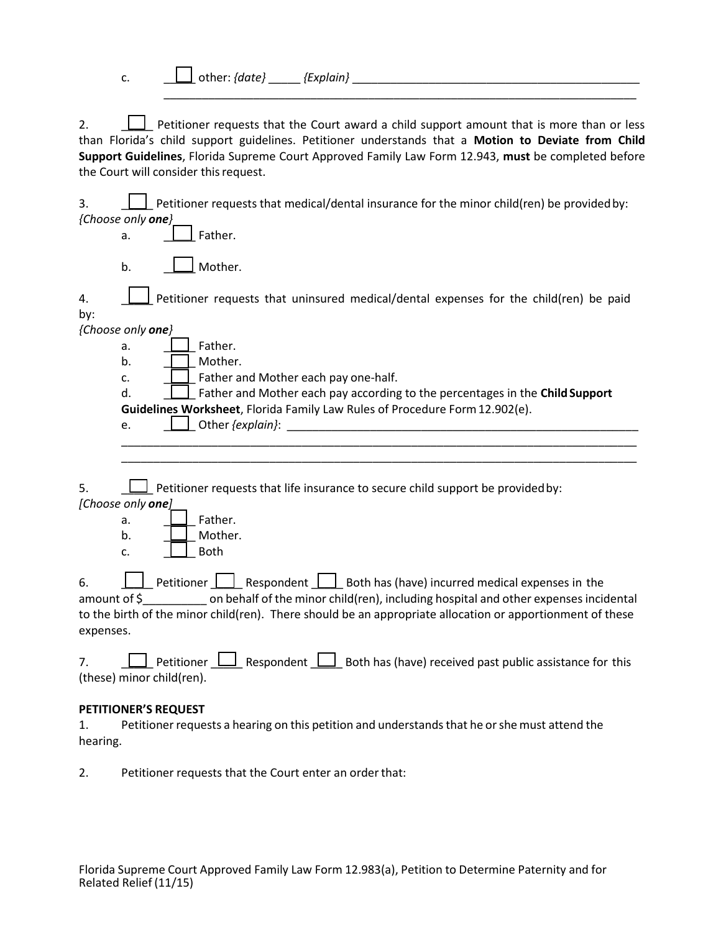| $\overline{\phantom{0}}$<br>J. | date }<br>athar: | nlain<br>-хишн.<br>. <i>. .</i> . |
|--------------------------------|------------------|-----------------------------------|
|--------------------------------|------------------|-----------------------------------|

2.  $\Box$  Petitioner requests that the Court award a child support amount that is more than or less  than Florida's child support guidelines; Petitioner understands that a **Motion to Deviate from Child Support Guidelines**, Florida Supreme Court Approved Family Law Form 12.943, **must** be completed before the Court will consider this request.

\_\_\_\_\_\_\_\_\_\_\_\_\_\_\_\_\_\_\_\_\_\_\_\_\_\_\_\_\_\_\_\_\_\_\_\_\_\_\_\_\_\_\_\_\_\_\_\_\_\_\_\_\_\_\_\_\_\_\_\_\_\_\_\_\_\_\_\_\_\_\_\_\_\_

| 3.                              | Petitioner requests that medical/dental insurance for the minor child(ren) be provided by:<br>{Choose only one}                                                                                                                                                                                                        |
|---------------------------------|------------------------------------------------------------------------------------------------------------------------------------------------------------------------------------------------------------------------------------------------------------------------------------------------------------------------|
|                                 | Father.<br>a.                                                                                                                                                                                                                                                                                                          |
|                                 | Mother.<br>b.                                                                                                                                                                                                                                                                                                          |
| 4.<br>by:                       | Petitioner requests that uninsured medical/dental expenses for the child(ren) be paid                                                                                                                                                                                                                                  |
|                                 | {Choose only one}                                                                                                                                                                                                                                                                                                      |
|                                 | Father.<br>a.                                                                                                                                                                                                                                                                                                          |
|                                 | Mother.<br>b.                                                                                                                                                                                                                                                                                                          |
|                                 | Father and Mother each pay one-half.<br>c.                                                                                                                                                                                                                                                                             |
|                                 | Father and Mother each pay according to the percentages in the Child Support<br>d.                                                                                                                                                                                                                                     |
|                                 | Guidelines Worksheet, Florida Family Law Rules of Procedure Form 12.902(e).                                                                                                                                                                                                                                            |
|                                 | Other {explain}:<br>e.                                                                                                                                                                                                                                                                                                 |
| 5.                              | Petitioner requests that life insurance to secure child support be provided by:                                                                                                                                                                                                                                        |
|                                 | [Choose only one]                                                                                                                                                                                                                                                                                                      |
|                                 | Father.<br>a.<br>Mother.<br>b.<br><b>Both</b><br>c.                                                                                                                                                                                                                                                                    |
| 6.<br>amount of \$<br>expenses. | Petitioner $\boxed{\phantom{a}}$ Respondent $\boxed{\phantom{a}}$ Both has (have) incurred medical expenses in the<br>on behalf of the minor child(ren), including hospital and other expenses incidental<br>to the birth of the minor child(ren). There should be an appropriate allocation or apportionment of these |
| 7.                              | Petitioner $\Box$ Respondent $\Box$ Both has (have) received past public assistance for this<br>(these) minor child(ren).                                                                                                                                                                                              |

## **PETITIONER'S REQUEST**

 1. Petitioner requests a hearing on this petition and understands that he or she must attend the hearing.

2. Petitioner requests that the Court enter an order that: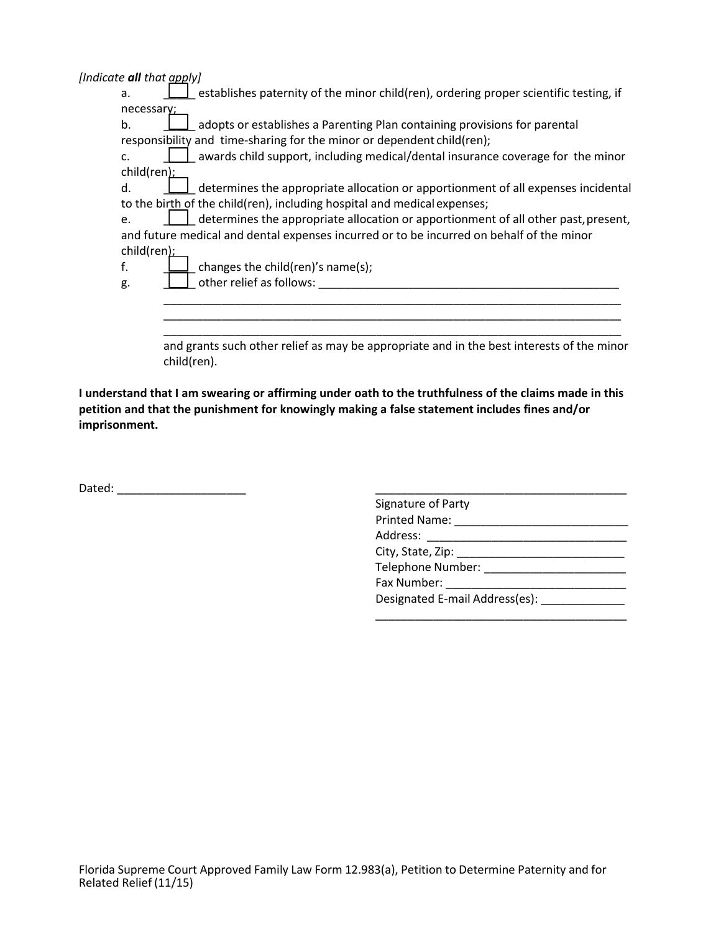*[Indicate all that apply]* 

| establishes paternity of the minor child(ren), ordering proper scientific testing, if<br>a.    |
|------------------------------------------------------------------------------------------------|
| necessary;                                                                                     |
| adopts or establishes a Parenting Plan containing provisions for parental<br>b.                |
| responsibility and time-sharing for the minor or dependent child(ren);                         |
| awards child support, including medical/dental insurance coverage for the minor<br>$C_{\cdot}$ |
| child(ren);                                                                                    |
| determines the appropriate allocation or apportionment of all expenses incidental<br>d.        |
| to the birth of the child(ren), including hospital and medical expenses;                       |
| determines the appropriate allocation or apportionment of all other past, present,<br>e.       |
| and future medical and dental expenses incurred or to be incurred on behalf of the minor       |
| child(ren):                                                                                    |
| f.<br>changes the child(ren)'s name(s);                                                        |
| other relief as follows:<br>g.                                                                 |
|                                                                                                |
|                                                                                                |
|                                                                                                |
| and grants such other relief as may be appropriate and in the best interests of the minor      |

**I understand that I am swearing or affirming under oath to the truthfulness of the claims made in this petition and that the punishment for knowingly making a false statement includes fines and/or imprisonment.** 

Dated: \_\_\_\_\_\_\_\_\_\_\_\_\_\_\_\_\_\_\_\_ Signature of Party

child(ren).

| Signature of Party                                                                                              |                                |
|-----------------------------------------------------------------------------------------------------------------|--------------------------------|
| Printed Name: Name: Name and Name and Name and Name and Name and Name and Name and Name and Name and Name and N |                                |
| Address: ___________                                                                                            |                                |
|                                                                                                                 |                                |
| Telephone Number: _________                                                                                     |                                |
| Fax Number:                                                                                                     |                                |
|                                                                                                                 | Designated E-mail Address(es): |
|                                                                                                                 |                                |